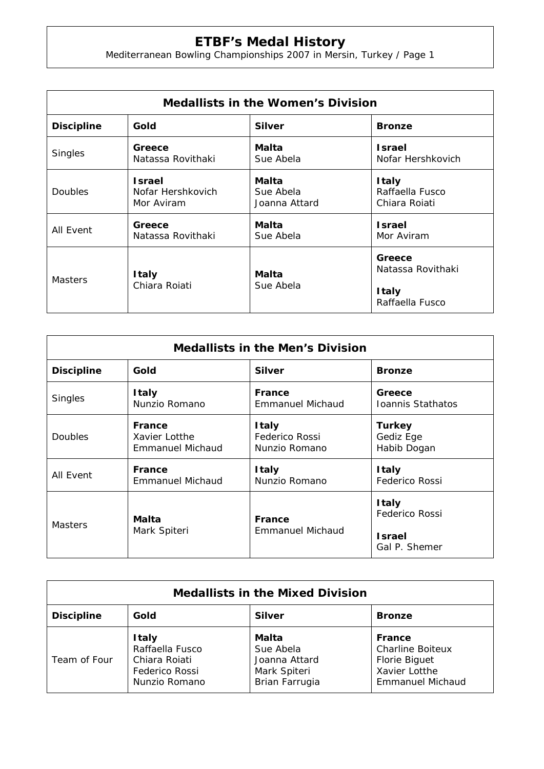## **ETBF's Medal History**

Mediterranean Bowling Championships 2007 in Mersin, Turkey / Page 1

| <b>Medallists in the Women's Division</b> |                                                  |                                     |                                                  |  |  |
|-------------------------------------------|--------------------------------------------------|-------------------------------------|--------------------------------------------------|--|--|
| <b>Discipline</b>                         | Gold                                             | <b>Silver</b>                       | <b>Bronze</b>                                    |  |  |
| Singles                                   | Greece<br>Natassa Rovithaki                      | Malta<br>Sue Abela                  | <b>Israel</b><br>Nofar Hershkovich               |  |  |
| <b>Doubles</b>                            | <b>Israel</b><br>Nofar Hershkovich<br>Mor Aviram | Malta<br>Sue Abela<br>Joanna Attard | <b>Italy</b><br>Raffaella Fusco<br>Chiara Roiati |  |  |
| All Event                                 | Greece<br>Natassa Rovithaki                      | Malta<br>Sue Abela                  | <b>Israel</b><br>Mor Aviram                      |  |  |
| <b>Masters</b>                            | <b>Italy</b><br>Chiara Roiati                    | Malta<br>Sue Abela                  | Greece<br>Natassa Rovithaki                      |  |  |
|                                           |                                                  |                                     | <b>Italy</b><br>Raffaella Fusco                  |  |  |

| <b>Medallists in the Men's Division</b> |                                                    |                                                 |                                           |  |  |
|-----------------------------------------|----------------------------------------------------|-------------------------------------------------|-------------------------------------------|--|--|
| <b>Discipline</b>                       | Gold                                               | <b>Silver</b>                                   | <b>Bronze</b>                             |  |  |
| Singles                                 | <b>Italy</b><br>Nunzio Romano                      | <b>France</b><br><b>Emmanuel Michaud</b>        | Greece<br>Ioannis Stathatos               |  |  |
| <b>Doubles</b>                          | France<br>Xavier Lotthe<br><b>Emmanuel Michaud</b> | <b>Italy</b><br>Federico Rossi<br>Nunzio Romano | <b>Turkey</b><br>Gediz Ege<br>Habib Dogan |  |  |
| All Event                               | France<br>Emmanuel Michaud                         | <b>Italy</b><br>Nunzio Romano                   | <b>Italy</b><br><b>Federico Rossi</b>     |  |  |
| <b>Masters</b>                          | Malta<br>Mark Spiteri                              | France<br>Emmanuel Michaud                      | <b>Italy</b><br>Federico Rossi            |  |  |
|                                         |                                                    |                                                 | <b>Israel</b><br>Gal P. Shemer            |  |  |

| <b>Medallists in the Mixed Division</b> |                                                                                     |                                                                       |                                                                                                       |  |  |
|-----------------------------------------|-------------------------------------------------------------------------------------|-----------------------------------------------------------------------|-------------------------------------------------------------------------------------------------------|--|--|
| <b>Discipline</b>                       | Gold                                                                                | <b>Silver</b>                                                         | <b>Bronze</b>                                                                                         |  |  |
| Team of Four                            | <b>Italy</b><br>Raffaella Fusco<br>Chiara Roiati<br>Federico Rossi<br>Nunzio Romano | Malta<br>Sue Abela<br>Joanna Attard<br>Mark Spiteri<br>Brian Farrugia | France<br><b>Charline Boiteux</b><br><b>Florie Biguet</b><br>Xavier Lotthe<br><b>Emmanuel Michaud</b> |  |  |